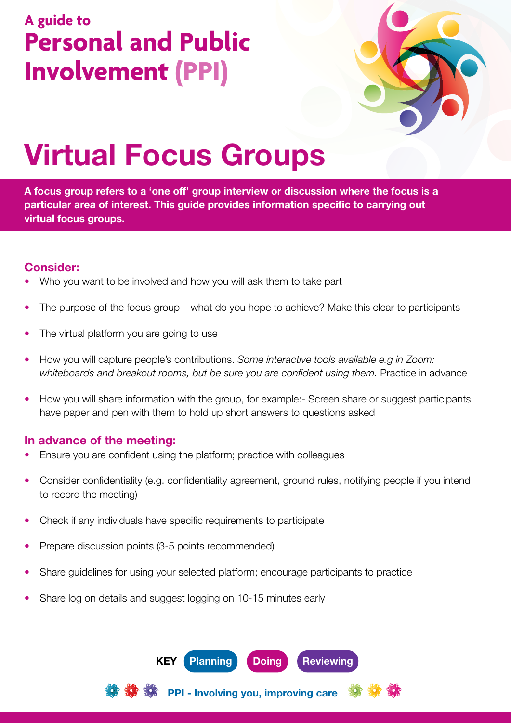## **A guide to Personal and Public Involvement (PPI)**



# Virtual Focus Groups

A focus group refers to a 'one off' group interview or discussion where the focus is a particular area of interest. This guide provides information specific to carrying out virtual focus groups.

#### Consider:

- Who you want to be involved and how you will ask them to take part
- The purpose of the focus group what do you hope to achieve? Make this clear to participants
- The virtual platform you are going to use
- How you will capture people's contributions. *Some interactive tools available e.g in Zoom: whiteboards and breakout rooms, but be sure you are confident using them.* Practice in advance
- How you will share information with the group, for example:- Screen share or suggest participants have paper and pen with them to hold up short answers to questions asked

#### In advance of the meeting:

- Ensure you are confident using the platform; practice with colleagues
- Consider confidentiality (e.g. confidentiality agreement, ground rules, notifying people if you intend to record the meeting)
- Check if any individuals have specific requirements to participate
- Prepare discussion points (3-5 points recommended)
- Share guidelines for using your selected platform; encourage participants to practice
- Share log on details and suggest logging on 10-15 minutes early



PPI - Involving you, improving care